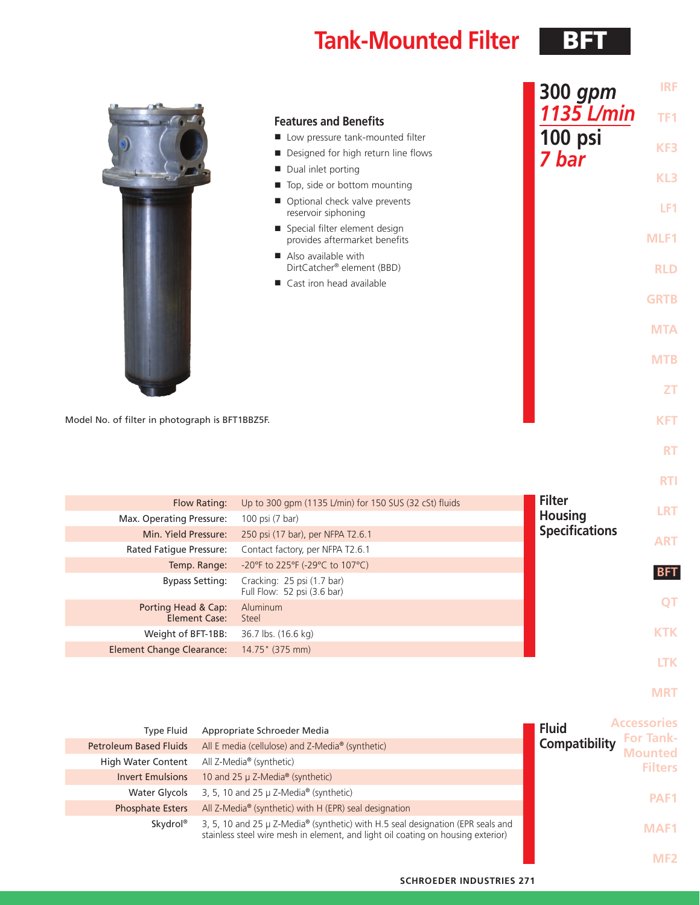# **Tank-Mounted Filter** BFT

|                                                 |                                                                  | 300 gpm               | <b>IRF</b>  |
|-------------------------------------------------|------------------------------------------------------------------|-----------------------|-------------|
|                                                 | <b>Features and Benefits</b>                                     | 1135 L/min            | TF1         |
|                                                 | Low pressure tank-mounted filter                                 | 100 psi               |             |
|                                                 | Designed for high return line flows                              | 7 bar                 | KF3         |
|                                                 | Dual inlet porting<br>ш                                          |                       |             |
|                                                 | Top, side or bottom mounting<br>$\blacksquare$                   |                       | KL3         |
|                                                 | ■ Optional check valve prevents<br>reservoir siphoning           |                       | LF1         |
|                                                 | ■ Special filter element design<br>provides aftermarket benefits |                       | MLF1        |
|                                                 | Also available with<br>DirtCatcher® element (BBD)                |                       | <b>RLD</b>  |
|                                                 | Cast iron head available                                         |                       |             |
|                                                 |                                                                  |                       | <b>GRTB</b> |
|                                                 |                                                                  |                       | <b>MTA</b>  |
|                                                 |                                                                  |                       | <b>MTB</b>  |
|                                                 |                                                                  |                       | <b>ZT</b>   |
| Model No. of filter in photograph is BFT1BBZ5F. |                                                                  |                       | <b>KFT</b>  |
|                                                 |                                                                  |                       | <b>RT</b>   |
|                                                 |                                                                  |                       | <b>RTI</b>  |
| Flow Rating:                                    | Up to 300 gpm (1135 L/min) for 150 SUS (32 cSt) fluids           | <b>Filter</b>         |             |
| Max. Operating Pressure:                        | 100 psi (7 bar)                                                  | <b>Housing</b>        | <b>LRT</b>  |
| Min. Yield Pressure:                            | 250 psi (17 bar), per NFPA T2.6.1                                | <b>Specifications</b> | <b>ART</b>  |
| Rated Fatigue Pressure:                         | Contact factory, per NFPA T2.6.1                                 |                       |             |

| Max. Operating Pressure:                    | 100 psi (7 bar)                                           | <b>HOUSING</b>        | ____       |
|---------------------------------------------|-----------------------------------------------------------|-----------------------|------------|
| Min. Yield Pressure:                        | 250 psi (17 bar), per NFPA T2.6.1                         | <b>Specifications</b> | <b>ART</b> |
| Rated Fatique Pressure:                     | Contact factory, per NFPA T2.6.1                          |                       |            |
| Temp. Range:                                | -20°F to 225°F (-29°C to 107°C)                           |                       | <b>BFT</b> |
| <b>Bypass Setting:</b>                      | Cracking: 25 psi (1.7 bar)<br>Full Flow: 52 psi (3.6 bar) |                       |            |
| Porting Head & Cap:<br><b>Element Case:</b> | Aluminum<br>Steel                                         |                       | <b>QT</b>  |
| Weight of BFT-1BB:                          | 36.7 lbs. (16.6 kg)                                       |                       | <b>KTK</b> |
| Element Change Clearance:                   | 14.75" (375 mm)                                           |                       |            |
|                                             |                                                           |                       | LTK        |

**MRT**

| <b>Type Fluid</b>             | Appropriate Schroeder Media                                                                                                                                         | ccessories<br><b>Fluid</b><br><b>For Tank-</b> |
|-------------------------------|---------------------------------------------------------------------------------------------------------------------------------------------------------------------|------------------------------------------------|
| <b>Petroleum Based Fluids</b> | All E media (cellulose) and Z-Media® (synthetic)                                                                                                                    | Compatibility<br><b>Mounted</b>                |
| <b>High Water Content</b>     | All Z-Media® (synthetic)                                                                                                                                            | <b>Filters</b>                                 |
| <b>Invert Emulsions</b>       | 10 and 25 $\mu$ Z-Media <sup>®</sup> (synthetic)                                                                                                                    |                                                |
| Water Glycols                 | 3, 5, 10 and 25 $\mu$ Z-Media <sup>®</sup> (synthetic)                                                                                                              | PAF <sub>1</sub>                               |
| <b>Phosphate Esters</b>       | All Z-Media® (synthetic) with H (EPR) seal designation                                                                                                              |                                                |
| Skydrol <sup>®</sup>          | 3, 5, 10 and 25 µ Z-Media® (synthetic) with H.5 seal designation (EPR seals and<br>stainless steel wire mesh in element, and light oil coating on housing exterior) | MAF1                                           |
|                               |                                                                                                                                                                     |                                                |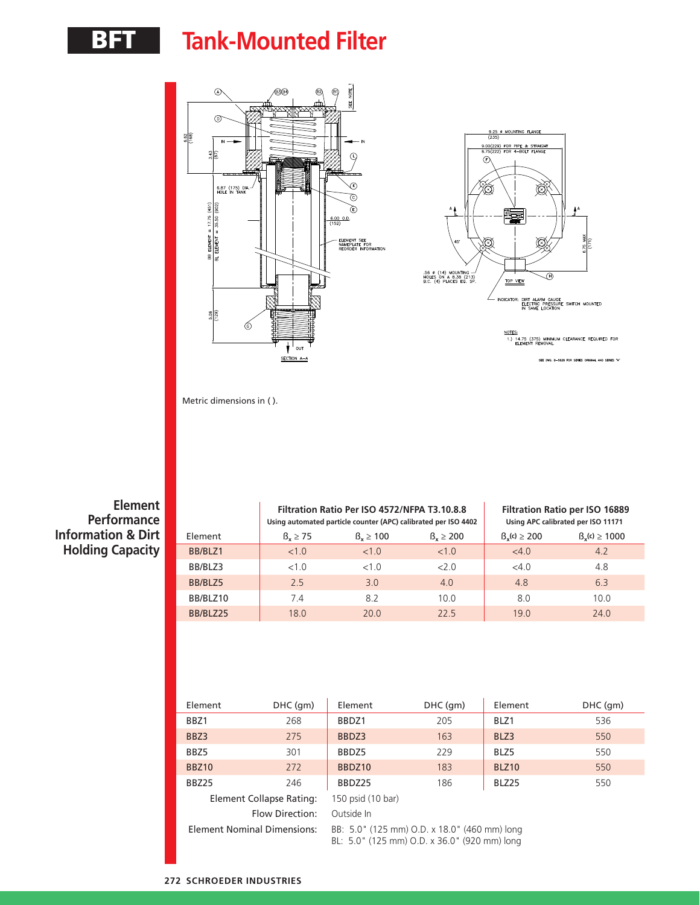## BFT **Tank-Mounted Filter**



Metric dimensions in ( ).

**Element Performance Information & Dirt Holding Capacity**

|          |               | Filtration Ratio Per ISO 4572/NFPA T3.10.8.8<br>Using automated particle counter (APC) calibrated per ISO 4402 |                      | Filtration Ratio per ISO 16889<br>Using APC calibrated per ISO 11171 |                         |
|----------|---------------|----------------------------------------------------------------------------------------------------------------|----------------------|----------------------------------------------------------------------|-------------------------|
| Element  | $B_v \geq 75$ | $B_v \ge 100$                                                                                                  | $\beta_{r} \geq 200$ | $\beta_{v}(c) \ge 200$                                               | $\beta_{v}(c) \ge 1000$ |
| BB/BLZ1  | <1.0          | <1.0                                                                                                           | <1.0                 | <4.0                                                                 | 4.2                     |
| BB/BLZ3  | <1.0          | $<1$ $\Omega$                                                                                                  | 200                  | <4.0                                                                 | 4.8                     |
| BB/BLZ5  | 2.5           | 3.0                                                                                                            | 4.0                  | 4.8                                                                  | 6.3                     |
| BB/BLZ10 | 7.4           | 82                                                                                                             | 100                  | 8.0                                                                  | 10.0                    |
| BB/BLZ25 | 18.0          | 200                                                                                                            | 225                  | 19 <sub>0</sub>                                                      | 24.0                    |

| Element                            | DHC (gm)               | Element                                                                                      | DHC (gm) | Element           | DHC (gm) |  |
|------------------------------------|------------------------|----------------------------------------------------------------------------------------------|----------|-------------------|----------|--|
| BBZ1                               | 268                    | BBDZ1                                                                                        | 205      | BLZ1              | 536      |  |
| BBZ3                               | 275                    | BBDZ3                                                                                        | 163      | BLZ3              | 550      |  |
| BBZ5                               | 301                    | BBDZ5                                                                                        | 229      | BLZ5              | 550      |  |
| <b>BBZ10</b>                       | 272                    | BBDZ10                                                                                       | 183      | BLZ <sub>10</sub> | 550      |  |
| BBZ25                              | 246                    | BBDZ25                                                                                       | 186      | BLZ25             | 550      |  |
| Element Collapse Rating:           |                        | 150 psid (10 bar)                                                                            |          |                   |          |  |
|                                    | <b>Flow Direction:</b> | Outside In                                                                                   |          |                   |          |  |
| <b>Element Nominal Dimensions:</b> |                        | BB: 5.0" (125 mm) O.D. x 18.0" (460 mm) long<br>BL: 5.0" (125 mm) O.D. x 36.0" (920 mm) long |          |                   |          |  |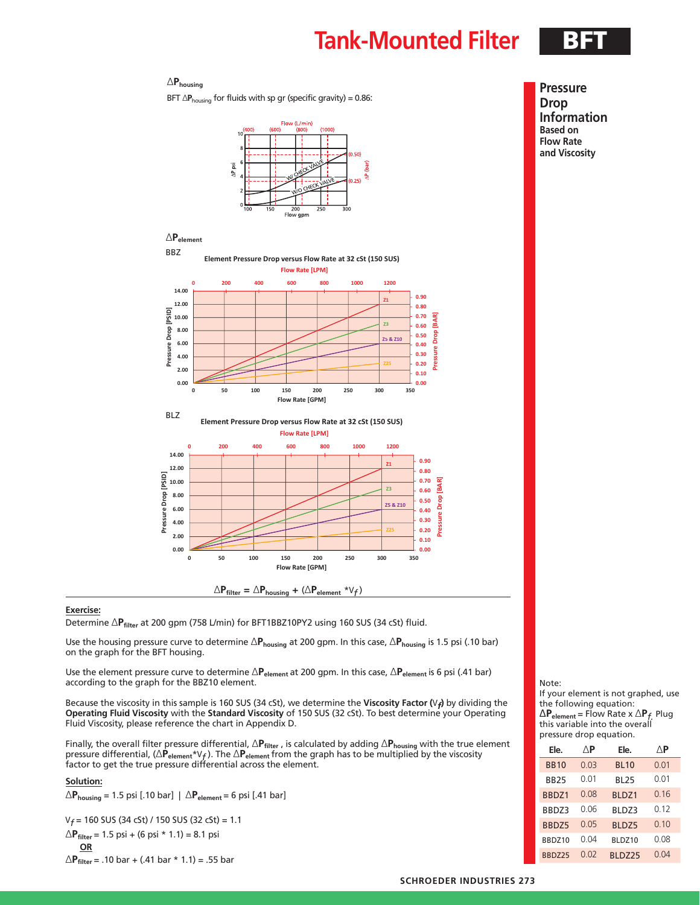### **Tank-Mounted Filter BFT**

### ∆**Phousing**

BFT ∆**P**<sub>housing</sub> for fluids with sp gr (specific gravity) = 0.86:



**Pressure Drop Information Based on Flow Rate and Viscosity**



#### **Exercise:**

Determine ∆P<sub>filter</sub> at 200 gpm (758 L/min) for BFT1BBZ10PY2 using 160 SUS (34 cSt) fluid.

Use the housing pressure curve to determine ∆**Phousing** at 200 gpm. In this case, ∆**Phousing** is 1.5 psi (.10 bar) on the graph for the BFT housing.

Use the element pressure curve to determine ∆**Pelement** at 200 gpm. In this case, ∆**Pelement** is 6 psi (.41 bar) according to the graph for the BBZ10 element.

Because the viscosity in this sample is 160 SUS (34 cSt), we determine the **Viscosity Factor (**V*f***)** by dividing the **Operating Fluid Viscosity** with the **Standard Viscosity** of 150 SUS (32 cSt). To best determine your Operating Fluid Viscosity, please reference the chart in Appendix D.

Finally, the overall filter pressure differential, ∆**Pfilter** , is calculated by adding ∆**Phousing** with the true element pressure differential, (∆**Pelement**\*V*f* ). The ∆**Pelement** from the graph has to be multiplied by the viscosity factor to get the true pressure differential across the element.

#### **Solution:**

∆**Phousing** = 1.5 psi [.10 bar] | ∆**Pelement** = 6 psi [.41 bar]

V*f* = 160 SUS (34 cSt) / 150 SUS (32 cSt) = 1.1

$$
\triangle P_{filter} = 1.5 \text{ psi} + (6 \text{ psi} * 1.1) = 8.1 \text{ psi}
$$
  
OR

∆**Pfilter** = .10 bar + (.41 bar \* 1.1) = .55 bar

#### Note:

If your element is not graphed, use the following equation: ∆**Pelement** = Flow Rate x ∆**P***f.* Plug this variable into the overall pressure drop equation.

| Ele.        | ΛP   | Ele.        | ΛP   |
|-------------|------|-------------|------|
| <b>BB10</b> | 0.03 | <b>BL10</b> | 0.01 |
| <b>BB25</b> | 0.01 | <b>BL25</b> | 0.01 |
| BBDZ1       | 0.08 | BLDZ1       | 0.16 |
| BBDZ3       | 0.06 | BLDZ3       | 0.12 |
| BBDZ5       | 0.05 | BLDZ5       | 0.10 |
| BBDZ10      | 0.04 | BLDZ10      | 0.08 |
| BBDZ25      | 0.02 | BLDZ25      | 0.04 |

#### **SCHROEDER INDUSTRIES 273**